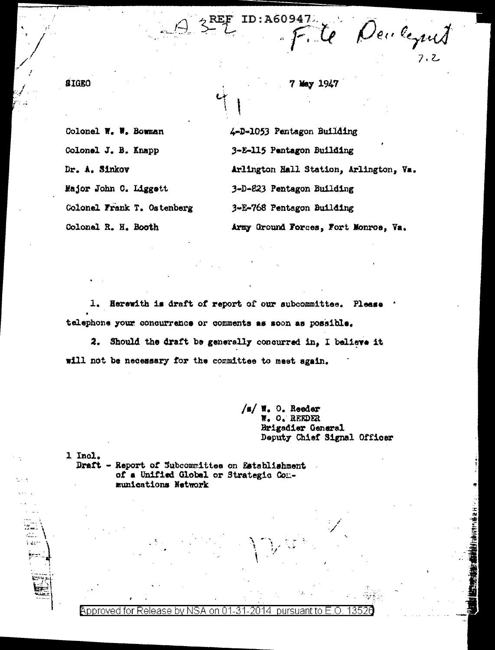May 1947

ID:A60947

Te Deuleques

Colonel W. W. Bowman Colonel J. B. Knapp Dr. A. Sinkov Major John C. Liggett Colonel Frank T. Ostenberg Colonel R. H. Booth

**SIGRO** 

\ ∉e

4-D-1053 Pentagon Building 3-E-115 Pentagon Building Arlington Hall Station, Arlington, Va. 3-D-223 Pentagon Building 3-E-768 Pentagon Building Army Ground Forces, Fort Monroe, Va.

1. Herewith is draft of report of our subcommittee. Please telephone your concurrence or comments as soon as possible.

2. Should the draft be generally concurred in. I believe it will not be necessary for the committee to meet again.

> /s/ W. O. Reeder W. O. REEDER Brigadier General Deputy Chief Signal Officer

1 Incl. Draft - Report of Subcommittee on Establishment of a Unified Global or Strategic Communications Network

Approved for Release bv on 0. 14 pursuant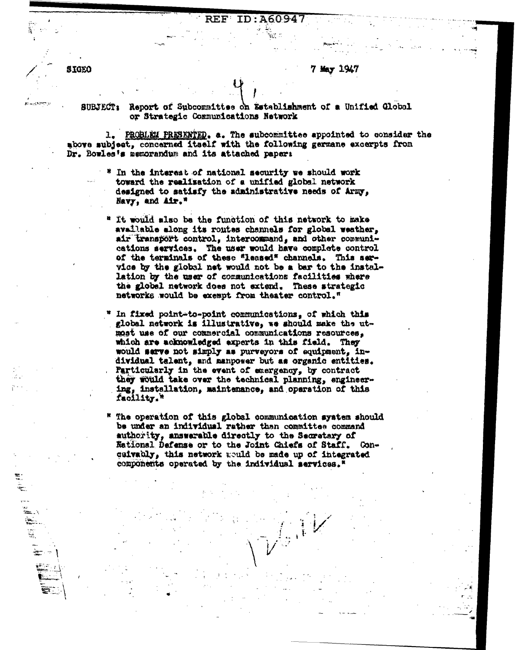## A6094

7 May 1947

**SIGEO** 

÷.

ĕ

Report of Subcommittee on Establishment of a Unified Global **SUBJECT:** or Strategic Communications Natwork

1. PROBLEM PRESENTED. a. The subcommittee appointed to consider the above subject, concerned itself with the following germane excerpts from Dr. Bowles's memorandum and its attached paper:

- In the interest of national security we should work toward the realization of a unified global network designed to satisfy the administrative needs of Army, Navy, and Air."
- " It would also be the function of this network to make avallable along its routes channels for global weather, air transport control, intercommand, and other communications services. The user would have complete control of the terminals of these "leased" channels. This service by the global net would not be a bar to the installation by the user of communications facilities where the global network does not extend. These strategic networks would be exempt from theater control."
- In fixed point-to-point communications, of which this global network is illustrative, we should make the utmost use of our commercial communications resources, which are acknowledged experts in this field. They would sarve not simply as purveyors of equipment, individual talent, and manpower but as organic entities. Particularly in the event of energency, by contract they would take over the technical planning, engineering, installation, maintenance, and operation of this facility."
- The operation of this global communication system should be under an individual rather than committee command authority, answerable directly to the Secretary of Kational Defense or to the Joint Chiefs of Staff. Concaivably, this network would be made up of integrated components operated by the individual services."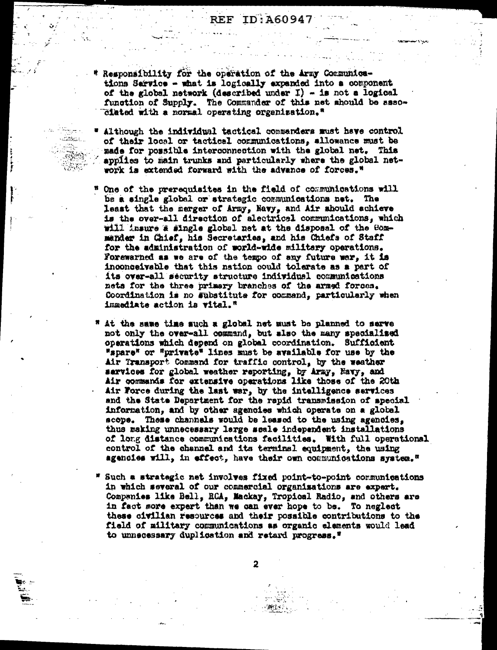- Responsibility for the operation of the Army Communications Sarvice - what is logically axpanded into a component of the global network (described under I) - is not a logical function of Supply. The Commander of this net should be assoclated with a normal operating organization."
- " Although the individual tactical commanders must have control of their local or tactical communications, allowance must be made for possible interconnection with the global net. This applies to main trunks and particularly where the global network is extended forward with the advance of forces."

والسرارية

STAR BALLA

- " One of the prerequisites in the field of communications will be a single global or strategic communications net. The least that the merger of Army, Navy, and Air should schieve is the over-all direction of alectrical communications, which will insure a single global net at the disposal of the Commander in Chief, his Secretaries, and his Chiefs of Staff for the administration of world-wide military operations. Forewarned as we are of the tempo of any future war, it is inconceivable that this nation could tolerate as a part of its over-all security structure individual communications nets for the three primary branches of the armed forces. Coordination is no substitute for command, particularly when immediate action is vital."
- " At the same time much a global net must be planned to sarve not only the over-all command, but also the many specialized operations which depend on global coordination. Sufficient "spare" or "private" lines must be available for use by the Air Transport Command for traffic control, by the weather sarvices for global weather reporting, by Army, Havy, and Air commands for extensive operations like those of the 20th Air Force during the last war, by the intelligence services and the State Department for the rapid transmission of special information, and by other agencies which operate on a global scope. These channels would be leased to the using agencies, thus making unnecessary large scale independent installations of long distance communications facilities. With full operational control of the channel and its terminal equipment, the using agencies will, in effect, have their own communications system."
- \* Such a strategic net involves fixed point-to-point communications in which several of our commercial organizations are expert. Companies like Bell, RCA, Mackay, Tropical Radio, and others are in fact sore expert than we can ever hope to be. To neglect these civilian resources and their possible contributions to the field of military communications as organic elements would lead to unnecessary duplication and retard progress."

 $\overline{2}$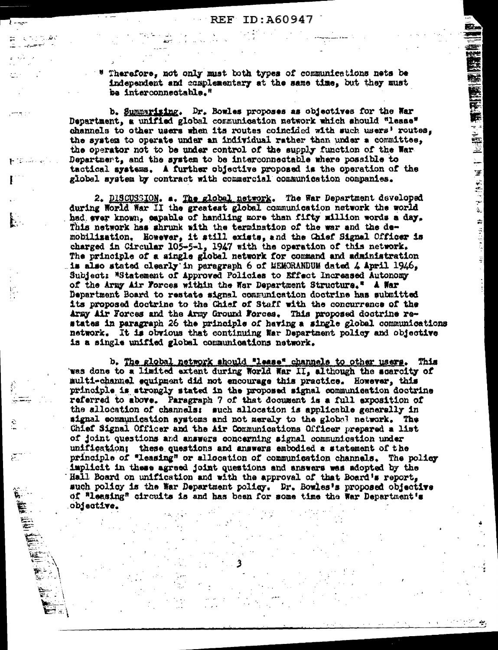$\mathbf{F}$  and  $\mathbf{F}$ 

 $\overline{a}$ 

Therefore, not only must both types of communications nets be independent and complementary at the same time, but they must be interconnectable."

b. Summarizing. Dr. Bowles proposes as objectives for the War Department, a unified global communication network which should "lease" channels to other users when its routes coincided with such users' routes, the system to operate under an individual rather than under a committee, the operator not to be under control of the supply function of the War Department, and the system to be interconnectable where possible to tactical systems. A further objective proposed is the operation of the global system by contract with commercial communication companies.

2. DISCUSSION. a. The global network. The War Department developed during World War II the greatest global communication network the world had ever known, capable of handling more than fifty million words a day. This network has shrunk with the termination of the war and the demobilization. However, it still exists, and the Chief Signal Officer is charged in Circular 105-5-1, 1947 with the operation of this network. The principle of a single global network for command and administration is also stated clearly in peragraph 6 of MEMORANDUM dated 4 April 1946. Subject: "Statement of Approved Policies to Effect Increased Autonomy of the Army Air Forces within the War Department Structure." A War Department Board to restate signal communication doctrine has submitted its proposed doctrine to the Chief of Staff with the concurrence of the Army Air Forces and the Army Ground Forces. This proposed doctrine restates in paragraph 26 the principle of having a single global communications network. It is obvious that continuing War Department policy and objective is a single unified global communications network.

b. The global network should "lease" channels to other users. This was done to a limited extent during World War II, although the scarcity of aulti-channel equipment did not encourage this practice. However, this principle is strongly stated in the proposed signal communication doctrine referred to above. Paragraph 7 of that document is a full exposition of the allocation of channels: such allocation is applicable generally in signal communication systems and not meraly to the global network. The Chief Signal Officer and the Air Communications Officer prepared a list of joint questions and answers concerning signal communication under unification; these questions and answers embodied a statement of the principle of "leasing" or allocation of communication channels. The policy implicit in these agreed joint questions and answers was adopted by the Hall Board on unification and with the approval of that Board's report, such policy is the War Department policy. Dr. Bowles's proposed objective of "leasing" circuits is and has been for some time the War Department's objective.

(1) 1990年(1990年) 1990年(1990年) 1990年) 1990年(1990年) 1990年) 1990年(1990年) 1990年) 1990年(1990年) 1990年(1990年) 1990年(1<br>1990年) 1990年(1990年) 1990年(1990年) 1990年(1990年) 1990年(1990年) 1990年(1990年) 1990年(1990年) 1990年(1990年) 1990年(1

ş.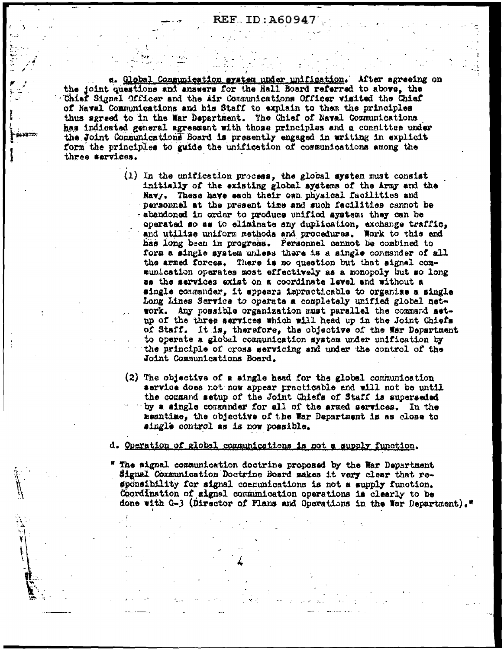REF ID: A60947

c. Global Communication system under unification. After agreeing on the joint questions and answers for the Hall Board referred to above. the Chief Signal Officer and the Air Communications Officer visited the Chief of Naval Communications and his Staff to explain to them the principles thus agreed to in the War Department. The Chief of Naval Communications has indicated general agreement with those principles and a committee under the Joint Communications Board is presently engaged in writing in explicit form the principles to guide the unification of communications among the three services.

- $(1)$  In the unification process, the global system must consist initially of the existing global systems of the Army and the Navy. These have each their own physical facilities and personnel at the present time and such facilities cannot be abandoned in order to produce unified system: they can be operated so as to eliminate any duplication, exchange traffic, and utilize uniform methods and procedures. Work to this end has long been in progress. Personnel cannot be combined to form a single system unless there is a single commander of all the armed forces. There is no question but that signal communication operates most effectively as a monopoly but so long as the services exist on a coordinate level and without a single commander, it appears impracticable to organize a single Long Lines Service to operate a completely unified global network. Any possible organization must parallel the command setup of the three services which will head up in the Joint Chiefs of Staff. It is, therefore, the objective of the War Department to operate a global communication system under unification by the principle of cross servicing and under the control of the Joint Communications Board.
- (2) The objective of a single head for the global communication service does not now appear practicable and will not be until the command setup of the Joint Chiefs of Staff is superseded by a single commender for all of the armed services. In the meantime, the objective of the War Department is as close to single control as is now possible.

d. Operation of global communications is not a supply function.

\* The signal communication doctrine proposed by the War Department Signal Communication Doctrine Board makes it very clear that responsibility for signal communications is not a supply function. Coordination of signal communication operations is clearly to be done with G-3 (Director of Plans and Operations in the War Department)."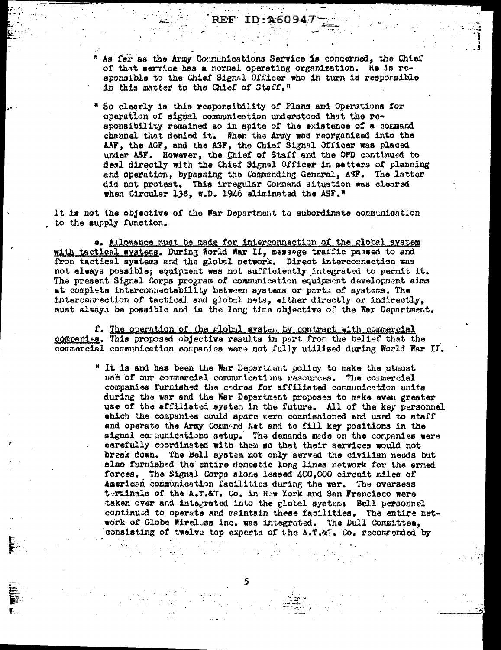As for as the Army Communications Service is concerned, the Chief of that service has a normal operating organization. He is responsible to the Chief Signal Officer who in turn is responsible in this matter to the Chief of Staff."

REF

ID: A6094

So clearly is this responsibility of Plans and Operations for operation of signal communication understood that the responsibility remained so in spite of the existence of a command channel that denied it. When the Army was reorganized into the AAF, the AGF, and the ASF, the Chief Signal Officer was placed under ASF. However, the Chief of Staff and the OPD continued to deal directly with the Chief Signal Officer in matters of planning and operation, bypassing the Commanding General, ASP. The latter did not protest. This irregular Command situation was cleared when Circular 138, #.D. 1946 aliminated the ASF."

It is not the objective of the War Department to subordinate communication to the supply function.

**e.** Allowance wust be made for interconnection of the global system with tactical aystems. During World War II, message traffic passed to and from tactical systems and the global network. Direct interconnection was not always possible; equipment was not sufficiently integrated to permit it. The present Signal Corps program of communication equipment development aims at complete interconnectability between aystems or parts of systems. The interconnection of tactical and global nets, either directly or indirectly, must always be possible and is the long time objective of the War Department.

f. The operation of the global system by contract with commercial companies. This proposed objective results in part from the belief that the commercial communication companies were not fully utilized during World War II.

> " It is and has been the War Department policy to make the utmost use of our commercial communications resources. The commercial companies furnished the cadres for affiliated communication units during the war and the War Department proposes to make even greater use of the affiliated system in the future. All of the key personnel which the companies could spare were commissioned and used to staff and operate the Army Command Net and to fill key positions in the signal communications setup. The demands made on the companies were carefully coordinated with them so that their services would not break down. The Bell system not only served the civilian needs but also furnished the entire domestic long lines network for the armed forces. The Signal Corps alone leased 400,000 circuit miles of American communication facilities during the war. The overseas terminals of the A.T.&T. Co. in New York and San Francisco were taken over and integrated into the global system: Bell personnel continued to operate and maintain these facilities. The entire network of Globe Wireless inc. was integrated. The Bull Committee, consisting of twelve top experts of the A.T.MT. Co. recommended by

> > **有关系 人民**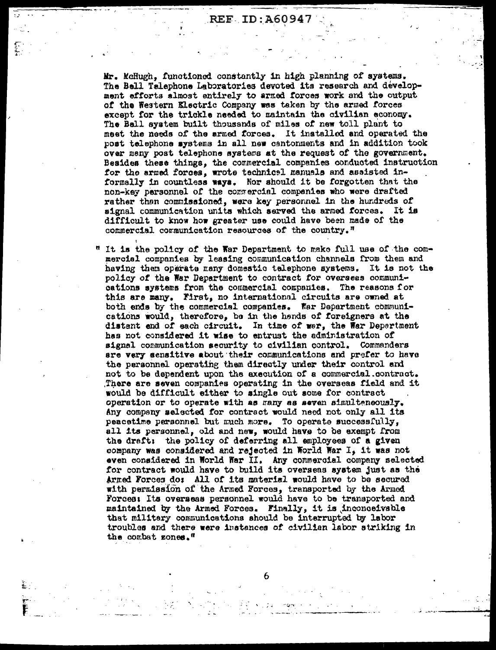**REF ID:A60947** 

Mr. McHugh, functioned constantly in high planning of systems. The Bell Talephone Laboratories devoted its research and development efforts almost entirely to armed forces work and the output of the Western Klectric Company was taken by the armed forces except for the trickle needed to maintain the civilian economy. The Ball system built thousands of miles of new toll plant to meet the needs of the armed forces. It installed and operated the post telephone systems in all new cantonments and in addition took over many post telephone systems at the request of the government. Besides these things, the commercial companies conducted instruction for the armed forces, wrote technical manuals and assisted informally in countless ways. Nor should it be forgotten that the non-key parsonnel of the commercial companies who were drafted rather than commissioned, were key personnel in the hundreds of signal communication units which served the armed forces. It is difficult to know how greater use could have been made of the commercial communication resources of the country."

" It is the policy of the War Department to make full use of the commercial companies by leasing communication channels from them and having them operate many domestic telephone systems. It is not the policy of the War Department to contract for overseas communications systems from the commercial companies. The reasons for this are many. First, no international circuits are owned at both ends by the commercial companies. Far Department communications would, therefore, be in the hends of foreigners at the distant and of each circuit. In time of wer, the War Department has not considered it wise to entrust the administration of signal communication security to civilian control. Commanders are very sensitive about their communications and prefer to have the personnel operating them directly under their control and not to be dependent upon the axecution of a commercial contract. There are seven companies operating in the overseas field and it would be difficult either to single out some for contract operation or to operate with as many as seven simulteneously. Any company selected for contract would need not only all its peacetime personnel but much more. To operate successfully, all its personnel, old and new, would have to be exempt from the draft: the policy of deferring all employees of a given company was considered and rejected in World War I, it was not even considered in World War II. Any commercial company selected for contract would have to build its overseas system just as the Armed Forces do: All of its material would have to be secured with permission of the Armed Forces, transported by the Armed Forces: Its overseas personnel would have to be transported and maintained by the Armed Forces. Finally, it is inconceivable that military communications should be interrupted by labor troubles and there were instances of civilian labor striking in the combat zones."